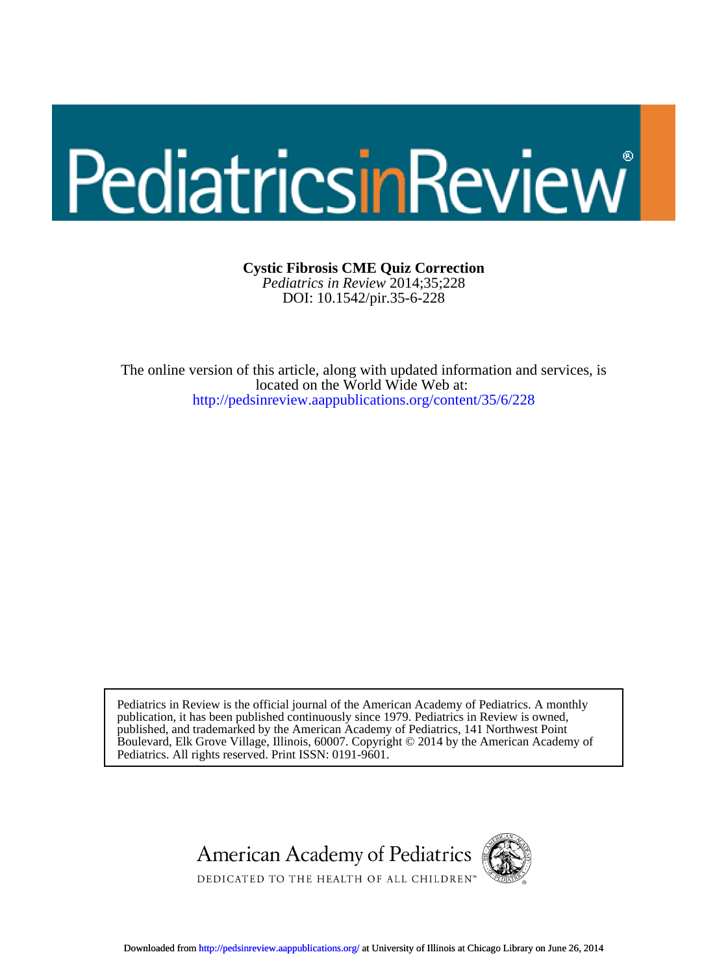## PediatricsinReview

DOI: 10.1542/pir.35-6-228 *Pediatrics in Review* 2014;35;228 **Cystic Fibrosis CME Quiz Correction**

<http://pedsinreview.aappublications.org/content/35/6/228> located on the World Wide Web at: The online version of this article, along with updated information and services, is

Pediatrics. All rights reserved. Print ISSN: 0191-9601. Boulevard, Elk Grove Village, Illinois, 60007. Copyright © 2014 by the American Academy of published, and trademarked by the American Academy of Pediatrics, 141 Northwest Point publication, it has been published continuously since 1979. Pediatrics in Review is owned, Pediatrics in Review is the official journal of the American Academy of Pediatrics. A monthly

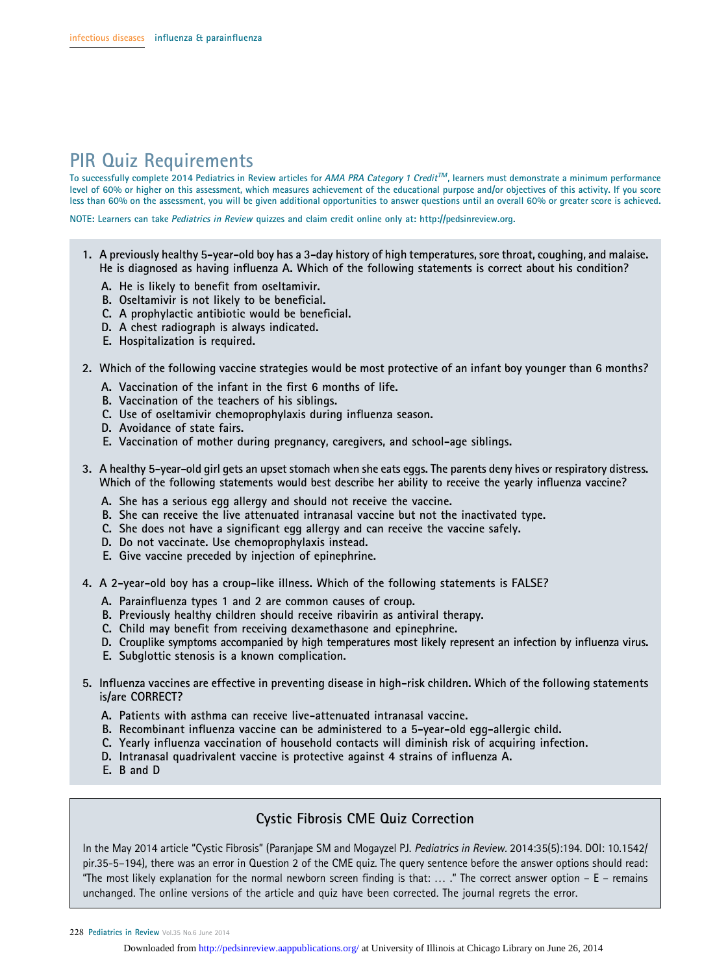## PIR Quiz Requirements

To successfully complete 2014 Pediatrics in Review articles for AMA PRA Category 1 Credit<sup>TM</sup>, learners must demonstrate a minimum performance level of 60% or higher on this assessment, which measures achievement of the educational purpose and/or objectives of this activity. If you score less than 60% on the assessment, you will be given additional opportunities to answer questions until an overall 60% or greater score is achieved.

NOTE: Learners can take Pediatrics in Review quizzes and claim credit online only at: http://pedsinreview.org.

- 1. A previously healthy 5-year-old boy has a 3-day history of high temperatures, sore throat, coughing, and malaise. He is diagnosed as having influenza A. Which of the following statements is correct about his condition?
	- A. He is likely to benefit from oseltamivir.
	- B. Oseltamivir is not likely to be beneficial.
	- C. A prophylactic antibiotic would be beneficial.
	- D. A chest radiograph is always indicated.
	- E. Hospitalization is required.
- 2. Which of the following vaccine strategies would be most protective of an infant boy younger than 6 months?
	- A. Vaccination of the infant in the first 6 months of life.
	- B. Vaccination of the teachers of his siblings.
	- C. Use of oseltamivir chemoprophylaxis during influenza season.
	- D. Avoidance of state fairs.
	- E. Vaccination of mother during pregnancy, caregivers, and school-age siblings.
- 3. A healthy 5-year-old girl gets an upset stomach when she eats eggs. The parents deny hives or respiratory distress. Which of the following statements would best describe her ability to receive the yearly influenza vaccine?
	- A. She has a serious egg allergy and should not receive the vaccine.
	- B. She can receive the live attenuated intranasal vaccine but not the inactivated type.
	- C. She does not have a significant egg allergy and can receive the vaccine safely.
	- D. Do not vaccinate. Use chemoprophylaxis instead.
	- E. Give vaccine preceded by injection of epinephrine.
- 4. A 2-year-old boy has a croup-like illness. Which of the following statements is FALSE?
	- A. Parainfluenza types 1 and 2 are common causes of croup.
	- B. Previously healthy children should receive ribavirin as antiviral therapy.
	- C. Child may benefit from receiving dexamethasone and epinephrine.
	- D. Crouplike symptoms accompanied by high temperatures most likely represent an infection by influenza virus.
	- E. Subglottic stenosis is a known complication.
- 5. Influenza vaccines are effective in preventing disease in high-risk children. Which of the following statements is/are CORRECT?
	- A. Patients with asthma can receive live-attenuated intranasal vaccine.
	- B. Recombinant influenza vaccine can be administered to a 5-year-old egg-allergic child.
	- C. Yearly influenza vaccination of household contacts will diminish risk of acquiring infection.
	- D. Intranasal quadrivalent vaccine is protective against 4 strains of influenza A.
	- E. B and D

## Cystic Fibrosis CME Quiz Correction

In the May 2014 article "Cystic Fibrosis" (Paranjape SM and Mogayzel PJ. Pediatrics in Review. 2014:35(5):194. DOI: 10.1542/ pir.35-5–194), there was an error in Question 2 of the CME quiz. The query sentence before the answer options should read: "The most likely explanation for the normal newborn screen finding is that: ... ." The correct answer option  $- E -$  remains unchanged. The online versions of the article and quiz have been corrected. The journal regrets the error.

228 Pediatrics in Review Vol.35 No.6 June 2014